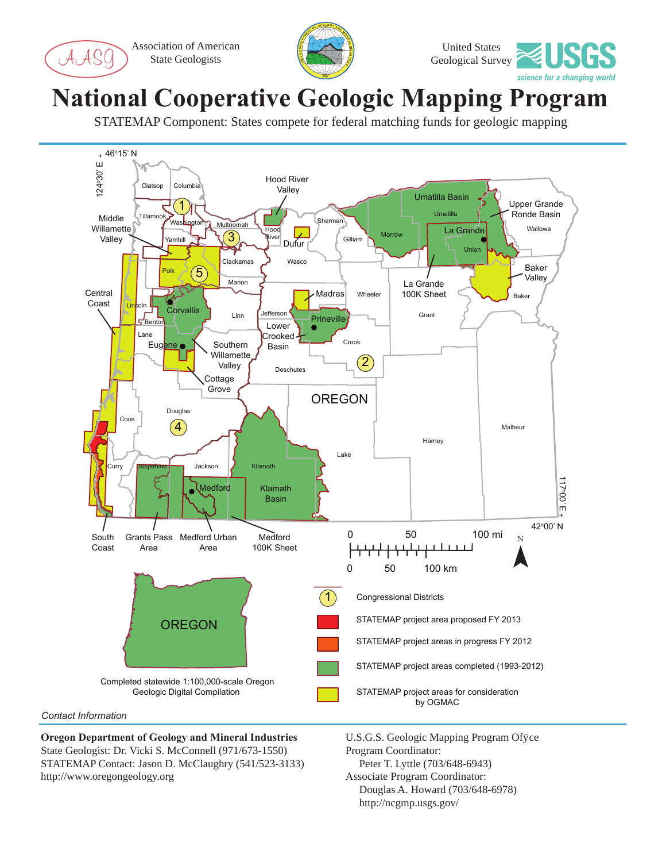Association of American State Geologists





## **National Cooperative Geologic Mapping Program**

STATEMAP Component: States compete for federal matching funds for geologic mapping



**Oregon Department of Geology and Mineral Industries** State Geologist: Dr. Vicki S. McConnell (971/673-1550) STATEMAP Contact: Jason D. McClaughry (541/523-3133) http://www.oregongeology.org

U.S.G.S. Geologic Mapping Program Office Program Coordinator: Peter T. Lyttle (703/648-6943) Associate Program Coordinator: Douglas A. Howard (703/648-6978)

http://ncgmp.usgs.gov/